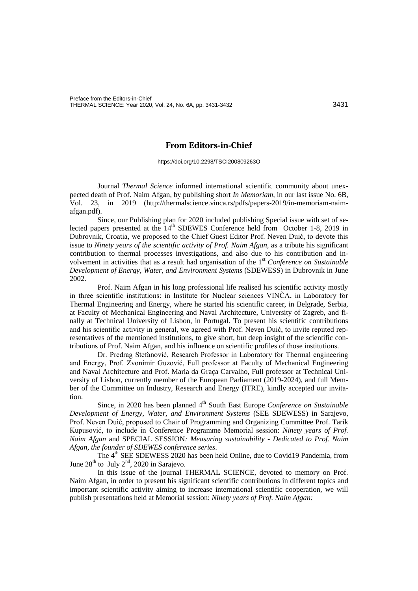## **From Editors-in-Chief**

https://doi.org/10.2298/TSCI200809263O

Journal *Thermal Science* informed international scientific community about unexpected death of Prof. Naim Afgan, by publishing short *In Memoriam*, in our last issue No. 6B, Vol. 23, in 2019 [\(http://thermalscience.vinca.rs/pdfs/papers-2019/in-memoriam-naim](http://thermalscience.vinca.rs/pdfs/papers-2019/in-memoriam-naim-afgan.pdf)[afgan.pdf\)](http://thermalscience.vinca.rs/pdfs/papers-2019/in-memoriam-naim-afgan.pdf).

Since, our Publishing plan for 2020 included publishing Special issue with set of selected papers presented at the  $14<sup>th</sup>$  SDEWES Conference held from October 1-8, 2019 in Dubrovnik, Croatia, we proposed to the Chief Guest Editor Prof. Neven Duić, to devote this issue to *Ninety years of the scientific activity of Prof. Naim Afgan*, as a tribute his significant contribution to thermal processes investigations, and also due to his contribution and involvement in activities that as a result had organisation of the 1<sup>st</sup> *Conference on Sustainable Development of Energy, Water, and Environment Systems* (SDEWESS) in Dubrovnik in June 2002.

Prof. Naim Afgan in his long professional life realised his scientific activity mostly in three scientific institutions: in Institute for Nuclear sciences VINČA, in Laboratory for Thermal Engineering and Energy, where he started his scientific career, in Belgrade, Serbia, at [Faculty of Mechanical Engineering and Naval Architecture,](http://www.fsb.hr/) [University of Zagreb,](http://www.unizg.hr/) and finally at Technical University of Lisbon, in Portugal. To present his scientific contributions and his scientific activity in general, we agreed with Prof. Neven Duić, to invite reputed representatives of the mentioned institutions, to give short, but deep insight of the scientific contributions of Prof. Naim Afgan, and his influence on scientific profiles of those institutions.

Dr. Predrag Stefanović, Research Professor in Laboratory for Thermal engineering and Energy, Prof. Zvonimir Guzović, Full professor at [Faculty of Mechanical Engineering](http://www.fsb.hr/)  [and Naval Architecture](http://www.fsb.hr/) and Prof. Maria da Graça Carvalho, Full professor at Technical University of Lisbon, currently member of the European Parliament (2019-2024), and full Member of the Committee on Industry, Research and Energy (ITRE), kindly accepted our invitation.

Since, in 2020 has been planned 4<sup>th</sup> South East Europe *Conference on Sustainable Development of Energy, Water, and Environment Systems* (SEE SDEWESS) in Sarajevo, Prof. Neven Duić, proposed to Chair of Programming and Organizing Committee Prof. Tarik Kupusović, to include in Conference Programme Memorial session: *Ninety years of Prof. Naim Afgan* and SPECIAL SESSION*: Measuring sustainability - Dedicated to Prof. Naim Afgan, the founder of SDEWES conference series*.

The 4<sup>th</sup> SEE SDEWESS 2020 has been held Online, due to Covid19 Pandemia, from June  $28^{\text{th}}$  to July  $2^{\text{nd}}$ , 2020 in Sarajevo.

In this issue of the journal THERMAL SCIENCE, devoted to memory on Prof. Naim Afgan, in order to present his significant scientific contributions in different topics and important scientific activity aiming to increase international scientific cooperation, we will publish presentations held at Memorial session: *Ninety years of Prof. Naim Afgan:*